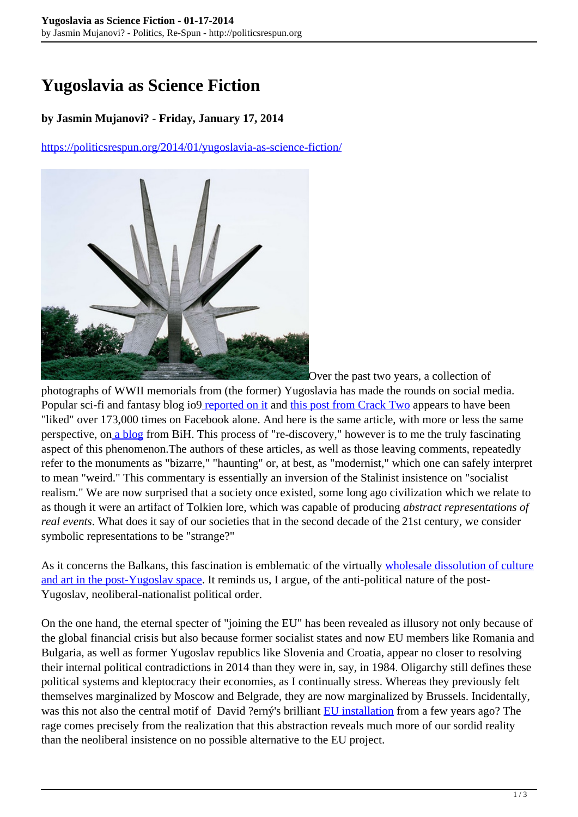## **Yugoslavia as Science Fiction**

## **by Jasmin Mujanovi? - Friday, January 17, 2014**

<https://politicsrespun.org/2014/01/yugoslavia-as-science-fiction/>



Over the past two years, a collection of

photographs of WWII memorials from (the former) Yugoslavia has made the rounds on social media. Popular sci-fi and fantasy blog io[9 reported on it](http://io9.com/5796297/old-yugoslavian-monuments-look-like-tie-fighters-and-scifi-fortresses) and [this post from Crack Two](http://www.cracktwo.com/2011/04/25-abandoned-soviet-monuments-that-look.html) appears to have been "liked" over 173,000 times on Facebook alone. And here is the same article, with more or less the same perspective, o[n a blog](http://www.malosutra.org/magazin/index.php?option=com_k2&view=item&id=1778:napusteni-jugoslovenski-spomenici-iz-buducnosti&Itemid=31) from BiH. This process of "re-discovery," however is to me the truly fascinating aspect of this phenomenon.The authors of these articles, as well as those leaving comments, repeatedly refer to the monuments as "bizarre," "haunting" or, at best, as "modernist," which one can safely interpret to mean "weird." This commentary is essentially an inversion of the Stalinist insistence on "socialist realism." We are now surprised that a society once existed, some long ago civilization which we relate to as though it were an artifact of Tolkien lore, which was capable of producing *abstract representations of real events*. What does it say of our societies that in the second decade of the 21st century, we consider symbolic representations to be "strange?"

As it concerns the Balkans, this fascination is emblematic of the virtually [wholesale dissolution of culture](http://www.cultureshutdown.net/) [and art in the post-Yugoslav space](http://www.cultureshutdown.net/). It reminds us, I argue, of the anti-political nature of the post-Yugoslav, neoliberal-nationalist political order.

On the one hand, the eternal specter of "joining the EU" has been revealed as illusory not only because of the global financial crisis but also because former socialist states and now EU members like Romania and Bulgaria, as well as former Yugoslav republics like Slovenia and Croatia, appear no closer to resolving their internal political contradictions in 2014 than they were in, say, in 1984. Oligarchy still defines these political systems and kleptocracy their economies, as I continually stress. Whereas they previously felt themselves marginalized by Moscow and Belgrade, they are now marginalized by Brussels. Incidentally, was this not also the central motif of David ?erný's brilliant [EU installation](http://www.dailymail.co.uk/news/article-1117822/After-Czechs-make-grovelling-apology-portraying-Bulgaria-toilet-350k-EU-artwork---new-furore-Italian-footballers-performing-sex-act.html) from a few years ago? The rage comes precisely from the realization that this abstraction reveals much more of our sordid reality than the neoliberal insistence on no possible alternative to the EU project.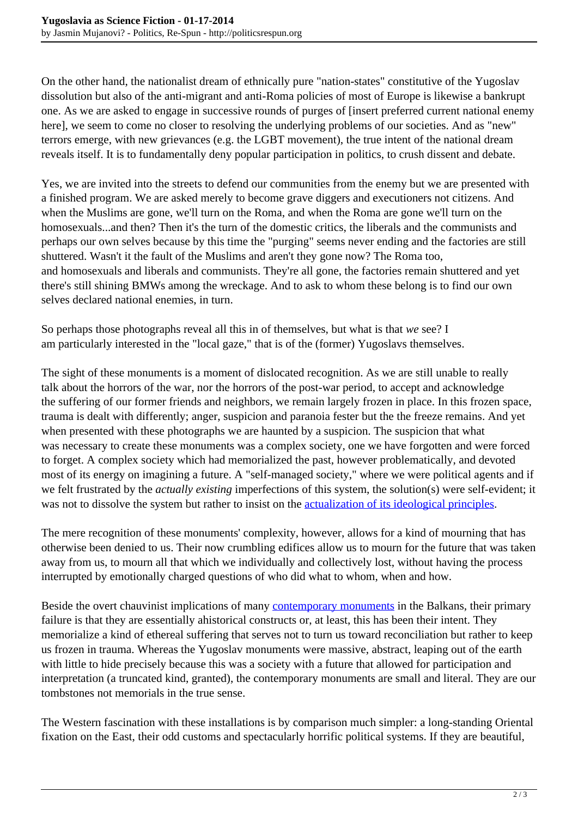On the other hand, the nationalist dream of ethnically pure "nation-states" constitutive of the Yugoslav dissolution but also of the anti-migrant and anti-Roma policies of most of Europe is likewise a bankrupt one. As we are asked to engage in successive rounds of purges of [insert preferred current national enemy here], we seem to come no closer to resolving the underlying problems of our societies. And as "new" terrors emerge, with new grievances (e.g. the LGBT movement), the true intent of the national dream reveals itself. It is to fundamentally deny popular participation in politics, to crush dissent and debate.

Yes, we are invited into the streets to defend our communities from the enemy but we are presented with a finished program. We are asked merely to become grave diggers and executioners not citizens. And when the Muslims are gone, we'll turn on the Roma, and when the Roma are gone we'll turn on the homosexuals...and then? Then it's the turn of the domestic critics, the liberals and the communists and perhaps our own selves because by this time the "purging" seems never ending and the factories are still shuttered. Wasn't it the fault of the Muslims and aren't they gone now? The Roma too, and homosexuals and liberals and communists. They're all gone, the factories remain shuttered and yet there's still shining BMWs among the wreckage. And to ask to whom these belong is to find our own selves declared national enemies, in turn.

So perhaps those photographs reveal all this in of themselves, but what is that *we* see? I am particularly interested in the "local gaze," that is of the (former) Yugoslavs themselves.

The sight of these monuments is a moment of dislocated recognition. As we are still unable to really talk about the horrors of the war, nor the horrors of the post-war period, to accept and acknowledge the suffering of our former friends and neighbors, we remain largely frozen in place. In this frozen space, trauma is dealt with differently; anger, suspicion and paranoia fester but the the freeze remains. And yet when presented with these photographs we are haunted by a suspicion. The suspicion that what was necessary to create these monuments was a complex society, one we have forgotten and were forced to forget. A complex society which had memorialized the past, however problematically, and devoted most of its energy on imagining a future. A "self-managed society," where we were political agents and if we felt frustrated by the *actually existing* imperfections of this system, the solution(s) were self-evident; it was not to dissolve the system but rather to insist on the [actualization of its ideological principles](http://www.scribd.com/doc/173690252/Vodovnik-Ziga-Democracy-as-a-Verb-New-Meditations-on-the-Yugoslav-Praxis-Philosophy).

The mere recognition of these monuments' complexity, however, allows for a kind of mourning that has otherwise been denied to us. Their now crumbling edifices allow us to mourn for the future that was taken away from us, to mourn all that which we individually and collectively lost, without having the process interrupted by emotionally charged questions of who did what to whom, when and how.

Beside the overt chauvinist implications of many [contemporary monuments](http://iwpr.net/report-news/calls-war-memorials-divide-bosnia) in the Balkans, their primary failure is that they are essentially ahistorical constructs or, at least, this has been their intent. They memorialize a kind of ethereal suffering that serves not to turn us toward reconciliation but rather to keep us frozen in trauma. Whereas the Yugoslav monuments were massive, abstract, leaping out of the earth with little to hide precisely because this was a society with a future that allowed for participation and interpretation (a truncated kind, granted), the contemporary monuments are small and literal. They are our tombstones not memorials in the true sense.

The Western fascination with these installations is by comparison much simpler: a long-standing Oriental fixation on the East, their odd customs and spectacularly horrific political systems. If they are beautiful,